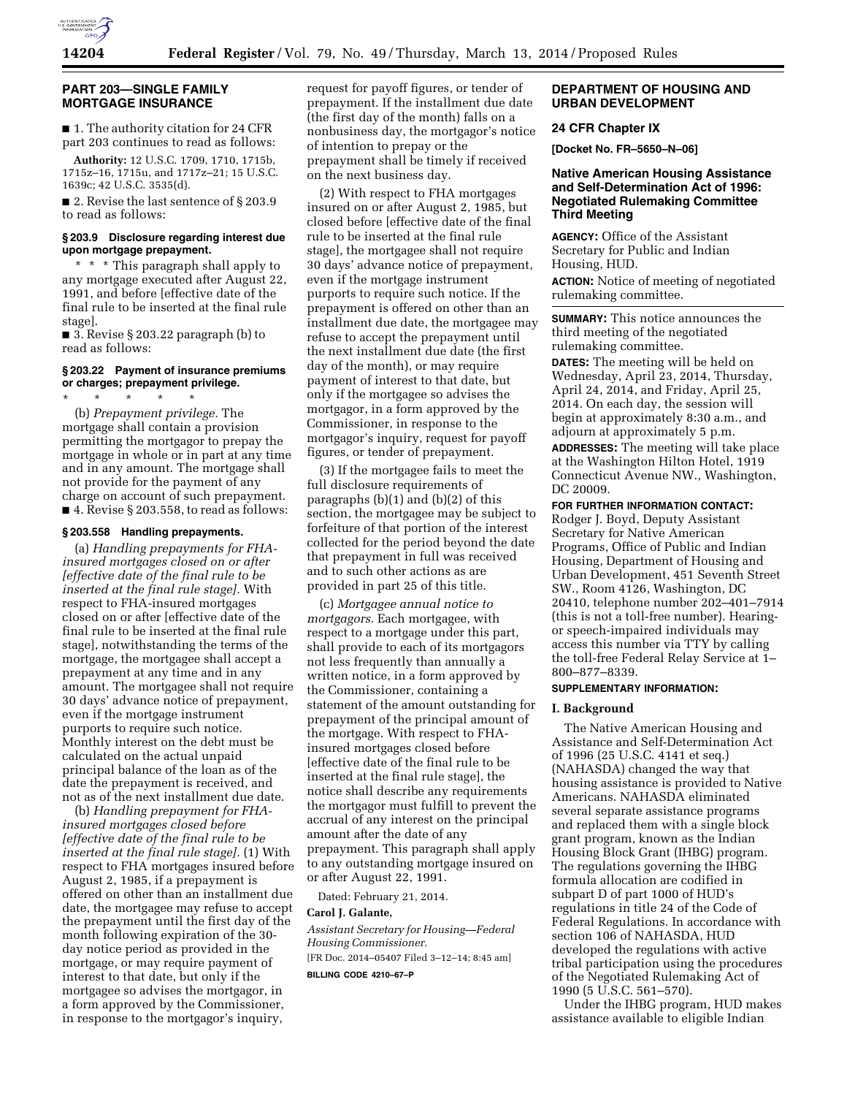

### **PART 203—SINGLE FAMILY MORTGAGE INSURANCE**

■ 1. The authority citation for 24 CFR part 203 continues to read as follows:

**Authority:** 12 U.S.C. 1709, 1710, 1715b, 1715z–16, 1715u, and 1717z–21; 15 U.S.C. 1639c; 42 U.S.C. 3535(d).

■ 2. Revise the last sentence of § 203.9 to read as follows:

#### **§ 203.9 Disclosure regarding interest due upon mortgage prepayment.**

\* \* \* This paragraph shall apply to any mortgage executed after August 22, 1991, and before [effective date of the final rule to be inserted at the final rule stage].

 $\blacksquare$  3. Revise § 203.22 paragraph (b) to read as follows:

#### **§ 203.22 Payment of insurance premiums or charges; prepayment privilege.**

\* \* \* \* \* (b) *Prepayment privilege.* The mortgage shall contain a provision permitting the mortgagor to prepay the mortgage in whole or in part at any time and in any amount. The mortgage shall not provide for the payment of any charge on account of such prepayment.  $\blacksquare$  4. Revise § 203.558, to read as follows:

# **§ 203.558 Handling prepayments.**

(a) *Handling prepayments for FHAinsured mortgages closed on or after [effective date of the final rule to be inserted at the final rule stage].* With respect to FHA-insured mortgages closed on or after [effective date of the final rule to be inserted at the final rule stage], notwithstanding the terms of the mortgage, the mortgagee shall accept a prepayment at any time and in any amount. The mortgagee shall not require 30 days' advance notice of prepayment, even if the mortgage instrument purports to require such notice. Monthly interest on the debt must be calculated on the actual unpaid principal balance of the loan as of the date the prepayment is received, and not as of the next installment due date.

(b) *Handling prepayment for FHAinsured mortgages closed before [effective date of the final rule to be inserted at the final rule stage].* (1) With respect to FHA mortgages insured before August 2, 1985, if a prepayment is offered on other than an installment due date, the mortgagee may refuse to accept the prepayment until the first day of the month following expiration of the 30 day notice period as provided in the mortgage, or may require payment of interest to that date, but only if the mortgagee so advises the mortgagor, in a form approved by the Commissioner, in response to the mortgagor's inquiry,

request for payoff figures, or tender of prepayment. If the installment due date (the first day of the month) falls on a nonbusiness day, the mortgagor's notice of intention to prepay or the prepayment shall be timely if received on the next business day.

(2) With respect to FHA mortgages insured on or after August 2, 1985, but closed before [effective date of the final rule to be inserted at the final rule stage], the mortgagee shall not require 30 days' advance notice of prepayment, even if the mortgage instrument purports to require such notice. If the prepayment is offered on other than an installment due date, the mortgagee may refuse to accept the prepayment until the next installment due date (the first day of the month), or may require payment of interest to that date, but only if the mortgagee so advises the mortgagor, in a form approved by the Commissioner, in response to the mortgagor's inquiry, request for payoff figures, or tender of prepayment.

(3) If the mortgagee fails to meet the full disclosure requirements of paragraphs (b)(1) and (b)(2) of this section, the mortgagee may be subject to forfeiture of that portion of the interest collected for the period beyond the date that prepayment in full was received and to such other actions as are provided in part 25 of this title.

(c) *Mortgagee annual notice to mortgagors.* Each mortgagee, with respect to a mortgage under this part, shall provide to each of its mortgagors not less frequently than annually a written notice, in a form approved by the Commissioner, containing a statement of the amount outstanding for prepayment of the principal amount of the mortgage. With respect to FHAinsured mortgages closed before [effective date of the final rule to be inserted at the final rule stage], the notice shall describe any requirements the mortgagor must fulfill to prevent the accrual of any interest on the principal amount after the date of any prepayment. This paragraph shall apply to any outstanding mortgage insured on or after August 22, 1991.

Dated: February 21, 2014.

# **Carol J. Galante,**

*Assistant Secretary for Housing—Federal Housing Commissioner.*  [FR Doc. 2014–05407 Filed 3–12–14; 8:45 am] **BILLING CODE 4210–67–P** 

# **DEPARTMENT OF HOUSING AND URBAN DEVELOPMENT**

### **24 CFR Chapter IX**

**[Docket No. FR–5650–N–06]** 

# **Native American Housing Assistance and Self-Determination Act of 1996: Negotiated Rulemaking Committee Third Meeting**

**AGENCY:** Office of the Assistant Secretary for Public and Indian Housing, HUD.

**ACTION:** Notice of meeting of negotiated rulemaking committee.

**SUMMARY:** This notice announces the third meeting of the negotiated rulemaking committee.

**DATES:** The meeting will be held on Wednesday, April 23, 2014, Thursday, April 24, 2014, and Friday, April 25, 2014. On each day, the session will begin at approximately 8:30 a.m., and adjourn at approximately 5 p.m.

**ADDRESSES:** The meeting will take place at the Washington Hilton Hotel, 1919 Connecticut Avenue NW., Washington, DC 20009.

**FOR FURTHER INFORMATION CONTACT:** 

Rodger J. Boyd, Deputy Assistant Secretary for Native American Programs, Office of Public and Indian Housing, Department of Housing and Urban Development, 451 Seventh Street SW., Room 4126, Washington, DC 20410, telephone number 202–401–7914 (this is not a toll-free number). Hearingor speech-impaired individuals may access this number via TTY by calling the toll-free Federal Relay Service at 1– 800–877–8339.

#### **SUPPLEMENTARY INFORMATION:**

### **I. Background**

The Native American Housing and Assistance and Self-Determination Act of 1996 (25 U.S.C. 4141 et seq.) (NAHASDA) changed the way that housing assistance is provided to Native Americans. NAHASDA eliminated several separate assistance programs and replaced them with a single block grant program, known as the Indian Housing Block Grant (IHBG) program. The regulations governing the IHBG formula allocation are codified in subpart D of part 1000 of HUD's regulations in title 24 of the Code of Federal Regulations. In accordance with section 106 of NAHASDA, HUD developed the regulations with active tribal participation using the procedures of the Negotiated Rulemaking Act of 1990 (5 U.S.C. 561–570).

Under the IHBG program, HUD makes assistance available to eligible Indian